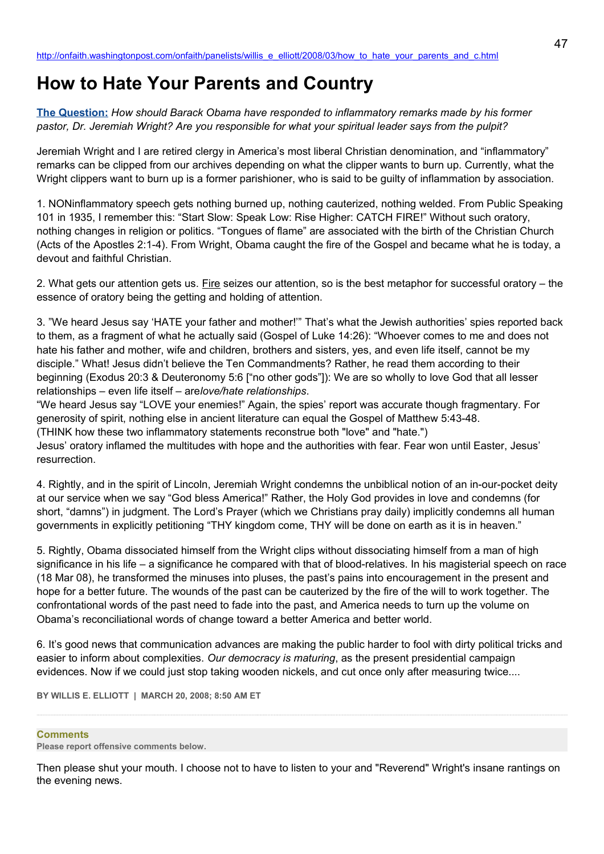# **How to Hate Your Parents and Country**

**[The Question:](http://newsweek.washingtonpost.com/onfaith/2008/03/obamas_pastor/)** *How should Barack Obama have responded to inflammatory remarks made by his former pastor, Dr. Jeremiah Wright? Are you responsible for what your spiritual leader says from the pulpit?*

Jeremiah Wright and I are retired clergy in America's most liberal Christian denomination, and "inflammatory" remarks can be clipped from our archives depending on what the clipper wants to burn up. Currently, what the Wright clippers want to burn up is a former parishioner, who is said to be guilty of inflammation by association.

1. NONinflammatory speech gets nothing burned up, nothing cauterized, nothing welded. From Public Speaking 101 in 1935, I remember this: "Start Slow: Speak Low: Rise Higher: CATCH FIRE!" Without such oratory, nothing changes in religion or politics. "Tongues of flame" are associated with the birth of the Christian Church (Acts of the Apostles 2:1-4). From Wright, Obama caught the fire of the Gospel and became what he is today, a devout and faithful Christian.

2. What gets our attention gets us. Fire seizes our attention, so is the best metaphor for successful oratory – the essence of oratory being the getting and holding of attention.

3. "We heard Jesus say 'HATE your father and mother!'" That's what the Jewish authorities' spies reported back to them, as a fragment of what he actually said (Gospel of Luke 14:26): "Whoever comes to me and does not hate his father and mother, wife and children, brothers and sisters, yes, and even life itself, cannot be my disciple." What! Jesus didn't believe the Ten Commandments? Rather, he read them according to their beginning (Exodus 20:3 & Deuteronomy 5:6 ["no other gods"]): We are so wholly to love God that all lesser relationships – even life itself – are*love/hate relationships*.

"We heard Jesus say "LOVE your enemies!" Again, the spies' report was accurate though fragmentary. For generosity of spirit, nothing else in ancient literature can equal the Gospel of Matthew 5:43-48. (THINK how these two inflammatory statements reconstrue both "love" and "hate.") Jesus' oratory inflamed the multitudes with hope and the authorities with fear. Fear won until Easter, Jesus'

resurrection.

4. Rightly, and in the spirit of Lincoln, Jeremiah Wright condemns the unbiblical notion of an in-our-pocket deity at our service when we say "God bless America!" Rather, the Holy God provides in love and condemns (for short, "damns") in judgment. The Lord's Prayer (which we Christians pray daily) implicitly condemns all human governments in explicitly petitioning "THY kingdom come, THY will be done on earth as it is in heaven."

5. Rightly, Obama dissociated himself from the Wright clips without dissociating himself from a man of high significance in his life – a significance he compared with that of blood-relatives. In his magisterial speech on race (18 Mar 08), he transformed the minuses into pluses, the past's pains into encouragement in the present and hope for a better future. The wounds of the past can be cauterized by the fire of the will to work together. The confrontational words of the past need to fade into the past, and America needs to turn up the volume on Obama's reconciliational words of change toward a better America and better world.

6. It's good news that communication advances are making the public harder to fool with dirty political tricks and easier to inform about complexities. *Our democracy is maturing*, as the present presidential campaign evidences. Now if we could just stop taking wooden nickels, and cut once only after measuring twice....

**BY WILLIS E. ELLIOTT | MARCH 20, 2008; 8:50 AM ET**

#### **Comments**

**Please report offensive comments below.**

Then please shut your mouth. I choose not to have to listen to your and "Reverend" Wright's insane rantings on the evening news.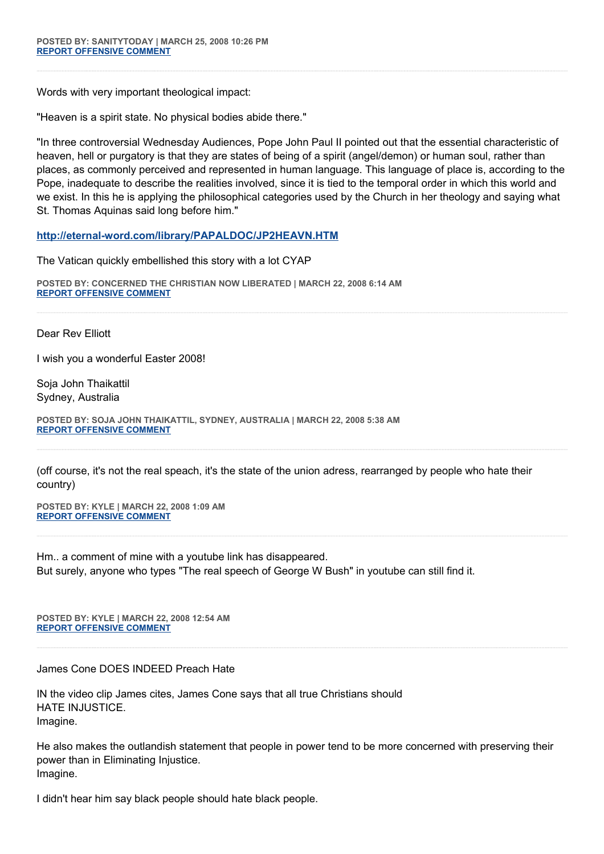Words with very important theological impact:

"Heaven is a spirit state. No physical bodies abide there."

"In three controversial Wednesday Audiences, Pope John Paul II pointed out that the essential characteristic of heaven, hell or purgatory is that they are states of being of a spirit (angel/demon) or human soul, rather than places, as commonly perceived and represented in human language. This language of place is, according to the Pope, inadequate to describe the realities involved, since it is tied to the temporal order in which this world and we exist. In this he is applying the philosophical categories used by the Church in her theology and saying what St. Thomas Aquinas said long before him."

## **<http://eternal-word.com/library/PAPALDOC/JP2HEAVN.HTM>**

The Vatican quickly embellished this story with a lot CYAP

**POSTED BY: CONCERNED THE CHRISTIAN NOW LIBERATED | MARCH 22, 2008 6:14 AM [REPORT OFFENSIVE COMMENT](mailto:blogs@washingtonpost.com?subject=On%20Faith%20Panelists%20Blog%20%20%7C%20%20Concerned%20the%20Christian%20Now%20Liberated%20%20%7C%20%20How%20to%20Hate%20Your%20Parents%20and%20Country%20%20%7C%20%202859641&body=%0D%0D%0D%0D%0D================%0D?__mode=view%26_type=comment%26id=2859641%26blog_id=618)**

Dear Rev Elliott

I wish you a wonderful Easter 2008!

Soja John Thaikattil Sydney, Australia

**POSTED BY: SOJA JOHN THAIKATTIL, SYDNEY, AUSTRALIA | MARCH 22, 2008 5:38 AM [REPORT OFFENSIVE COMMENT](mailto:blogs@washingtonpost.com?subject=On%20Faith%20Panelists%20Blog%20%20%7C%20%20Soja%20John%20Thaikattil,%20Sydney,%20Australia%20%20%7C%20%20How%20to%20Hate%20Your%20Parents%20and%20Country%20%20%7C%20%202859330&body=%0D%0D%0D%0D%0D================%0D?__mode=view%26_type=comment%26id=2859330%26blog_id=618)**

(off course, it's not the real speach, it's the state of the union adress, rearranged by people who hate their country)

**POSTED BY: KYLE | MARCH 22, 2008 1:09 AM [REPORT OFFENSIVE COMMENT](mailto:blogs@washingtonpost.com?subject=On%20Faith%20Panelists%20Blog%20%20%7C%20%20Kyle%20%20%7C%20%20How%20to%20Hate%20Your%20Parents%20and%20Country%20%20%7C%20%202856701&body=%0D%0D%0D%0D%0D================%0D?__mode=view%26_type=comment%26id=2856701%26blog_id=618)**

Hm.. a comment of mine with a youtube link has disappeared. But surely, anyone who types "The real speech of George W Bush" in youtube can still find it.

**POSTED BY: KYLE | MARCH 22, 2008 12:54 AM [REPORT OFFENSIVE COMMENT](mailto:blogs@washingtonpost.com?subject=On%20Faith%20Panelists%20Blog%20%20%7C%20%20Kyle%20%20%7C%20%20How%20to%20Hate%20Your%20Parents%20and%20Country%20%20%7C%20%202856577&body=%0D%0D%0D%0D%0D================%0D?__mode=view%26_type=comment%26id=2856577%26blog_id=618)**

James Cone DOES INDEED Preach Hate

IN the video clip James cites, James Cone says that all true Christians should HATE INJUSTICE. Imagine.

He also makes the outlandish statement that people in power tend to be more concerned with preserving their power than in Eliminating Injustice. Imagine.

I didn't hear him say black people should hate black people.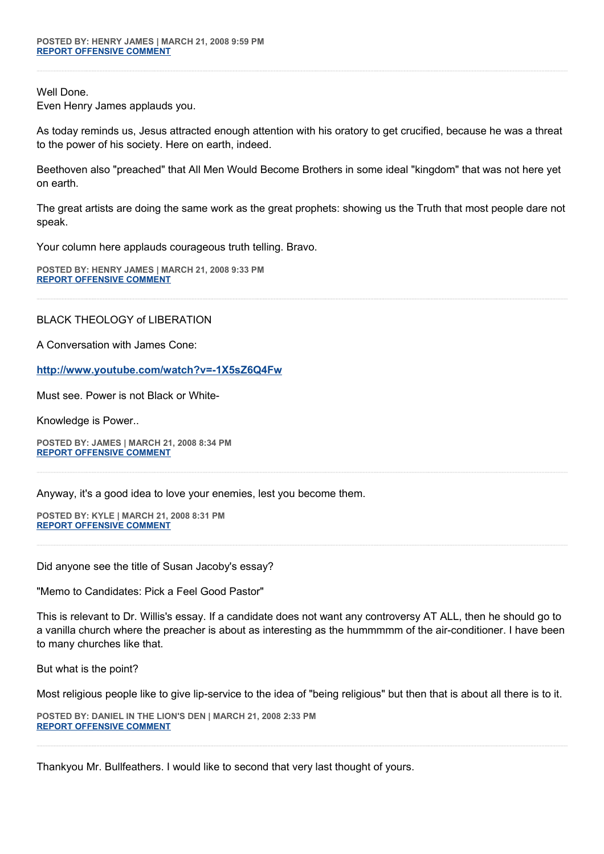Well Done.

Even Henry James applauds you.

As today reminds us, Jesus attracted enough attention with his oratory to get crucified, because he was a threat to the power of his society. Here on earth, indeed.

Beethoven also "preached" that All Men Would Become Brothers in some ideal "kingdom" that was not here yet on earth.

The great artists are doing the same work as the great prophets: showing us the Truth that most people dare not speak.

Your column here applauds courageous truth telling. Bravo.

**POSTED BY: HENRY JAMES | MARCH 21, 2008 9:33 PM [REPORT OFFENSIVE COMMENT](mailto:blogs@washingtonpost.com?subject=On%20Faith%20Panelists%20Blog%20%20%7C%20%20Henry%20James%20%20%7C%20%20How%20to%20Hate%20Your%20Parents%20and%20Country%20%20%7C%20%202854877&body=%0D%0D%0D%0D%0D================%0D?__mode=view%26_type=comment%26id=2854877%26blog_id=618)**

BLACK THEOLOGY of LIBERATION

A Conversation with James Cone:

**<http://www.youtube.com/watch?v=-1X5sZ6Q4Fw>**

Must see. Power is not Black or White-

Knowledge is Power..

**POSTED BY: JAMES | MARCH 21, 2008 8:34 PM [REPORT OFFENSIVE COMMENT](mailto:blogs@washingtonpost.com?subject=On%20Faith%20Panelists%20Blog%20%20%7C%20%20james%20%20%7C%20%20How%20to%20Hate%20Your%20Parents%20and%20Country%20%20%7C%20%202854331&body=%0D%0D%0D%0D%0D================%0D?__mode=view%26_type=comment%26id=2854331%26blog_id=618)**

Anyway, it's a good idea to love your enemies, lest you become them.

**POSTED BY: KYLE | MARCH 21, 2008 8:31 PM [REPORT OFFENSIVE COMMENT](mailto:blogs@washingtonpost.com?subject=On%20Faith%20Panelists%20Blog%20%20%7C%20%20Kyle%20%20%7C%20%20How%20to%20Hate%20Your%20Parents%20and%20Country%20%20%7C%20%202854317&body=%0D%0D%0D%0D%0D================%0D?__mode=view%26_type=comment%26id=2854317%26blog_id=618)**

Did anyone see the title of Susan Jacoby's essay?

"Memo to Candidates: Pick a Feel Good Pastor"

This is relevant to Dr. Willis's essay. If a candidate does not want any controversy AT ALL, then he should go to a vanilla church where the preacher is about as interesting as the hummmmm of the air-conditioner. I have been to many churches like that.

But what is the point?

Most religious people like to give lip-service to the idea of "being religious" but then that is about all there is to it.

**POSTED BY: DANIEL IN THE LION'S DEN | MARCH 21, 2008 2:33 PM [REPORT OFFENSIVE COMMENT](mailto:blogs@washingtonpost.com?subject=On%20Faith%20Panelists%20Blog%20%20%7C%20%20Daniel%20in%20the%20Lion)**

Thankyou Mr. Bullfeathers. I would like to second that very last thought of yours.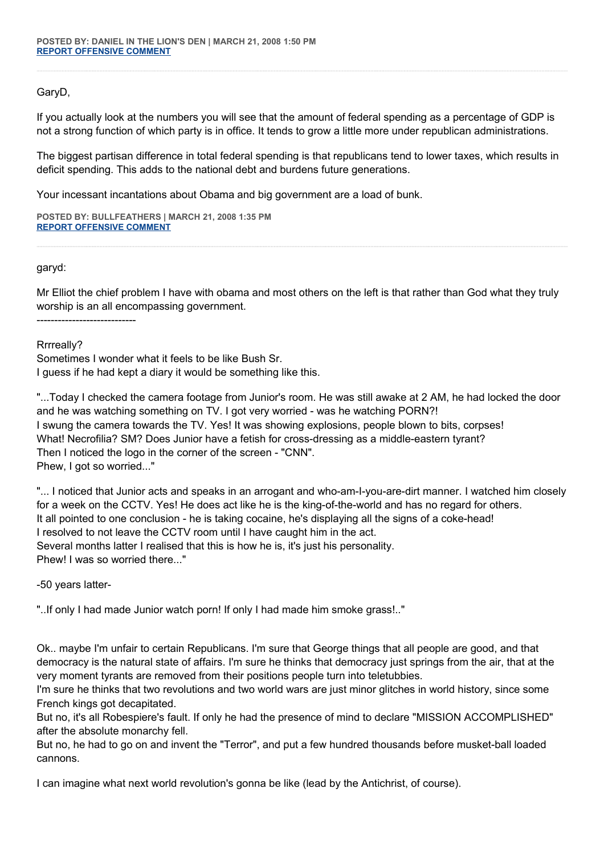# GaryD,

If you actually look at the numbers you will see that the amount of federal spending as a percentage of GDP is not a strong function of which party is in office. It tends to grow a little more under republican administrations.

The biggest partisan difference in total federal spending is that republicans tend to lower taxes, which results in deficit spending. This adds to the national debt and burdens future generations.

Your incessant incantations about Obama and big government are a load of bunk.

**POSTED BY: BULLFEATHERS | MARCH 21, 2008 1:35 PM [REPORT OFFENSIVE COMMENT](mailto:blogs@washingtonpost.com?subject=On%20Faith%20Panelists%20Blog%20%20%7C%20%20Bullfeathers%20%20%7C%20%20How%20to%20Hate%20Your%20Parents%20and%20Country%20%20%7C%20%202850893&body=%0D%0D%0D%0D%0D================%0D?__mode=view%26_type=comment%26id=2850893%26blog_id=618)**

garyd:

Mr Elliot the chief problem I have with obama and most others on the left is that rather than God what they truly worship is an all encompassing government.

----------------------------

## Rrrreally?

Sometimes I wonder what it feels to be like Bush Sr. I guess if he had kept a diary it would be something like this.

"...Today I checked the camera footage from Junior's room. He was still awake at 2 AM, he had locked the door and he was watching something on TV. I got very worried - was he watching PORN?! I swung the camera towards the TV. Yes! It was showing explosions, people blown to bits, corpses! What! Necrofilia? SM? Does Junior have a fetish for cross-dressing as a middle-eastern tyrant? Then I noticed the logo in the corner of the screen - "CNN". Phew, I got so worried..."

"... I noticed that Junior acts and speaks in an arrogant and who-am-I-you-are-dirt manner. I watched him closely for a week on the CCTV. Yes! He does act like he is the king-of-the-world and has no regard for others. It all pointed to one conclusion - he is taking cocaine, he's displaying all the signs of a coke-head! I resolved to not leave the CCTV room until I have caught him in the act. Several months latter I realised that this is how he is, it's just his personality. Phew! I was so worried there..."

-50 years latter-

"..If only I had made Junior watch porn! If only I had made him smoke grass!.."

Ok.. maybe I'm unfair to certain Republicans. I'm sure that George things that all people are good, and that democracy is the natural state of affairs. I'm sure he thinks that democracy just springs from the air, that at the very moment tyrants are removed from their positions people turn into teletubbies.

I'm sure he thinks that two revolutions and two world wars are just minor glitches in world history, since some French kings got decapitated.

But no, it's all Robespiere's fault. If only he had the presence of mind to declare "MISSION ACCOMPLISHED" after the absolute monarchy fell.

But no, he had to go on and invent the "Terror", and put a few hundred thousands before musket-ball loaded cannons.

I can imagine what next world revolution's gonna be like (lead by the Antichrist, of course).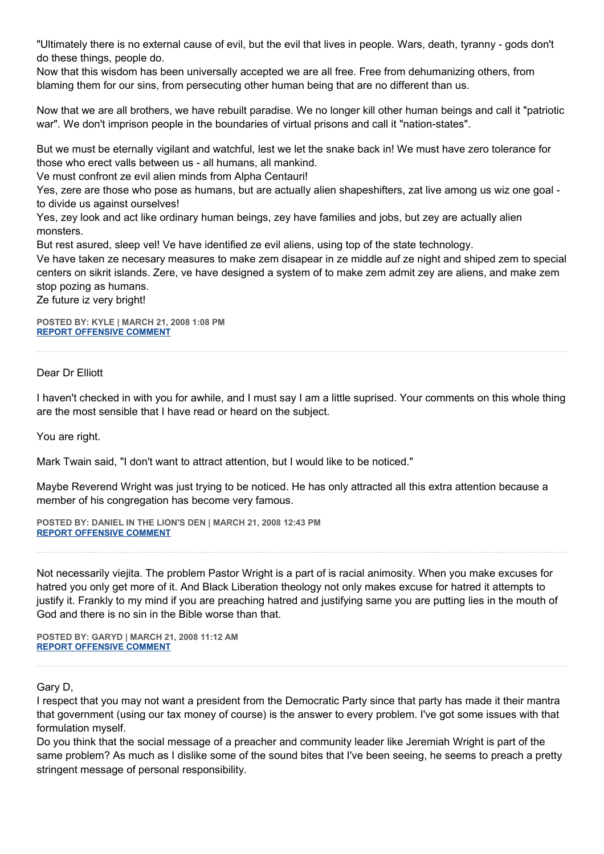"Ultimately there is no external cause of evil, but the evil that lives in people. Wars, death, tyranny - gods don't do these things, people do.

Now that this wisdom has been universally accepted we are all free. Free from dehumanizing others, from blaming them for our sins, from persecuting other human being that are no different than us.

Now that we are all brothers, we have rebuilt paradise. We no longer kill other human beings and call it "patriotic war". We don't imprison people in the boundaries of virtual prisons and call it "nation-states".

But we must be eternally vigilant and watchful, lest we let the snake back in! We must have zero tolerance for those who erect valls between us - all humans, all mankind.

Ve must confront ze evil alien minds from Alpha Centauri!

Yes, zere are those who pose as humans, but are actually alien shapeshifters, zat live among us wiz one goal to divide us against ourselves!

Yes, zey look and act like ordinary human beings, zey have families and jobs, but zey are actually alien monsters.

But rest asured, sleep vel! Ve have identified ze evil aliens, using top of the state technology.

Ve have taken ze necesary measures to make zem disapear in ze middle auf ze night and shiped zem to special centers on sikrit islands. Zere, ve have designed a system of to make zem admit zey are aliens, and make zem stop pozing as humans.

Ze future iz very bright!

**POSTED BY: KYLE | MARCH 21, 2008 1:08 PM [REPORT OFFENSIVE COMMENT](mailto:blogs@washingtonpost.com?subject=On%20Faith%20Panelists%20Blog%20%20%7C%20%20Kyle%20%20%7C%20%20How%20to%20Hate%20Your%20Parents%20and%20Country%20%20%7C%20%202850767&body=%0D%0D%0D%0D%0D================%0D?__mode=view%26_type=comment%26id=2850767%26blog_id=618)**

Dear Dr Elliott

I haven't checked in with you for awhile, and I must say I am a little suprised. Your comments on this whole thing are the most sensible that I have read or heard on the subject.

You are right.

Mark Twain said, "I don't want to attract attention, but I would like to be noticed."

Maybe Reverend Wright was just trying to be noticed. He has only attracted all this extra attention because a member of his congregation has become very famous.

**POSTED BY: DANIEL IN THE LION'S DEN | MARCH 21, 2008 12:43 PM [REPORT OFFENSIVE COMMENT](mailto:blogs@washingtonpost.com?subject=On%20Faith%20Panelists%20Blog%20%20%7C%20%20Daniel%20in%20the%20Lion)**

Not necessarily viejita. The problem Pastor Wright is a part of is racial animosity. When you make excuses for hatred you only get more of it. And Black Liberation theology not only makes excuse for hatred it attempts to justify it. Frankly to my mind if you are preaching hatred and justifying same you are putting lies in the mouth of God and there is no sin in the Bible worse than that.

**POSTED BY: GARYD | MARCH 21, 2008 11:12 AM [REPORT OFFENSIVE COMMENT](mailto:blogs@washingtonpost.com?subject=On%20Faith%20Panelists%20Blog%20%20%7C%20%20garyd%20%20%7C%20%20How%20to%20Hate%20Your%20Parents%20and%20Country%20%20%7C%20%202850126&body=%0D%0D%0D%0D%0D================%0D?__mode=view%26_type=comment%26id=2850126%26blog_id=618)**

Gary D,

I respect that you may not want a president from the Democratic Party since that party has made it their mantra that government (using our tax money of course) is the answer to every problem. I've got some issues with that formulation myself.

Do you think that the social message of a preacher and community leader like Jeremiah Wright is part of the same problem? As much as I dislike some of the sound bites that I've been seeing, he seems to preach a pretty stringent message of personal responsibility.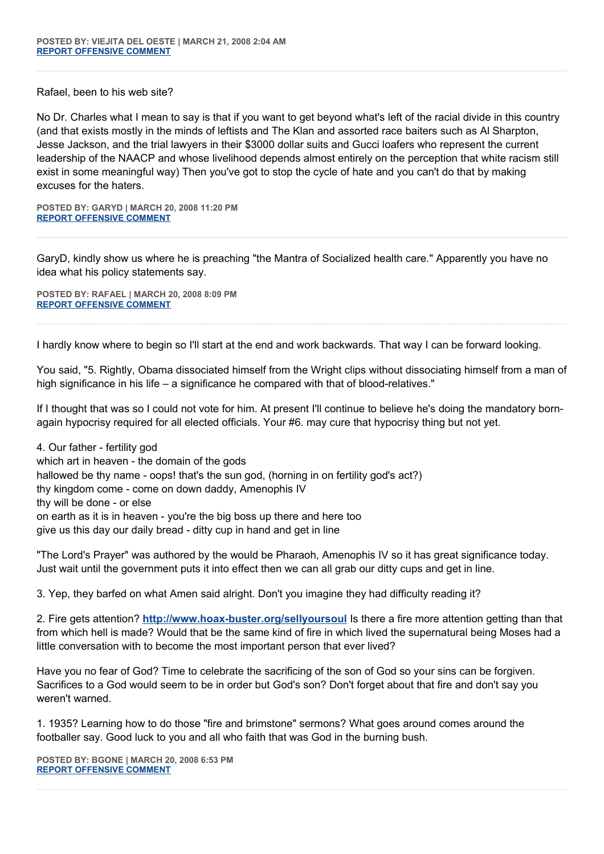Rafael, been to his web site?

No Dr. Charles what I mean to say is that if you want to get beyond what's left of the racial divide in this country (and that exists mostly in the minds of leftists and The Klan and assorted race baiters such as Al Sharpton, Jesse Jackson, and the trial lawyers in their \$3000 dollar suits and Gucci loafers who represent the current leadership of the NAACP and whose livelihood depends almost entirely on the perception that white racism still exist in some meaningful way) Then you've got to stop the cycle of hate and you can't do that by making excuses for the haters.

**POSTED BY: GARYD | MARCH 20, 2008 11:20 PM [REPORT OFFENSIVE COMMENT](mailto:blogs@washingtonpost.com?subject=On%20Faith%20Panelists%20Blog%20%20%7C%20%20garyd%20%20%7C%20%20How%20to%20Hate%20Your%20Parents%20and%20Country%20%20%7C%20%202844492&body=%0D%0D%0D%0D%0D================%0D?__mode=view%26_type=comment%26id=2844492%26blog_id=618)**

GaryD, kindly show us where he is preaching "the Mantra of Socialized health care." Apparently you have no idea what his policy statements say.

**POSTED BY: RAFAEL | MARCH 20, 2008 8:09 PM [REPORT OFFENSIVE COMMENT](mailto:blogs@washingtonpost.com?subject=On%20Faith%20Panelists%20Blog%20%20%7C%20%20rafael%20%20%7C%20%20How%20to%20Hate%20Your%20Parents%20and%20Country%20%20%7C%20%202842960&body=%0D%0D%0D%0D%0D================%0D?__mode=view%26_type=comment%26id=2842960%26blog_id=618)**

I hardly know where to begin so I'll start at the end and work backwards. That way I can be forward looking.

You said, "5. Rightly, Obama dissociated himself from the Wright clips without dissociating himself from a man of high significance in his life – a significance he compared with that of blood-relatives."

If I thought that was so I could not vote for him. At present I'll continue to believe he's doing the mandatory bornagain hypocrisy required for all elected officials. Your #6. may cure that hypocrisy thing but not yet.

4. Our father - fertility god which art in heaven - the domain of the gods hallowed be thy name - oops! that's the sun god, (horning in on fertility god's act?) thy kingdom come - come on down daddy, Amenophis IV thy will be done - or else on earth as it is in heaven - you're the big boss up there and here too give us this day our daily bread - ditty cup in hand and get in line

"The Lord's Prayer" was authored by the would be Pharaoh, Amenophis IV so it has great significance today. Just wait until the government puts it into effect then we can all grab our ditty cups and get in line.

3. Yep, they barfed on what Amen said alright. Don't you imagine they had difficulty reading it?

2. Fire gets attention? **<http://www.hoax-buster.org/sellyoursoul>** Is there a fire more attention getting than that from which hell is made? Would that be the same kind of fire in which lived the supernatural being Moses had a little conversation with to become the most important person that ever lived?

Have you no fear of God? Time to celebrate the sacrificing of the son of God so your sins can be forgiven. Sacrifices to a God would seem to be in order but God's son? Don't forget about that fire and don't say you weren't warned.

1. 1935? Learning how to do those "fire and brimstone" sermons? What goes around comes around the footballer say. Good luck to you and all who faith that was God in the burning bush.

**POSTED BY: BGONE | MARCH 20, 2008 6:53 PM [REPORT OFFENSIVE COMMENT](mailto:blogs@washingtonpost.com?subject=On%20Faith%20Panelists%20Blog%20%20%7C%20%20BGone%20%20%7C%20%20How%20to%20Hate%20Your%20Parents%20and%20Country%20%20%7C%20%202842331&body=%0D%0D%0D%0D%0D================%0D?__mode=view%26_type=comment%26id=2842331%26blog_id=618)**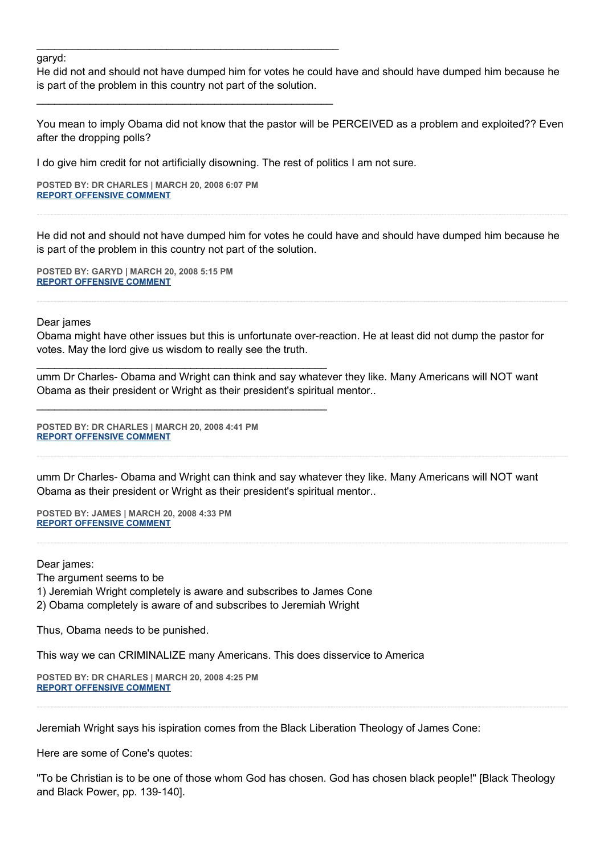### garyd:

He did not and should not have dumped him for votes he could have and should have dumped him because he is part of the problem in this country not part of the solution.

You mean to imply Obama did not know that the pastor will be PERCEIVED as a problem and exploited?? Even after the dropping polls?

I do give him credit for not artificially disowning. The rest of politics I am not sure.

\_\_\_\_\_\_\_\_\_\_\_\_\_\_\_\_\_\_\_\_\_\_\_\_\_\_\_\_\_\_\_\_\_\_\_\_\_\_\_\_\_\_\_\_\_\_\_\_\_\_\_

\_\_\_\_\_\_\_\_\_\_\_\_\_\_\_\_\_\_\_\_\_\_\_\_\_\_\_\_\_\_\_\_\_\_\_\_\_\_\_\_\_\_\_\_\_\_\_\_\_\_

**POSTED BY: DR CHARLES | MARCH 20, 2008 6:07 PM [REPORT OFFENSIVE COMMENT](mailto:blogs@washingtonpost.com?subject=On%20Faith%20Panelists%20Blog%20%20%7C%20%20Dr%20Charles%20%20%7C%20%20How%20to%20Hate%20Your%20Parents%20and%20Country%20%20%7C%20%202841947&body=%0D%0D%0D%0D%0D================%0D?__mode=view%26_type=comment%26id=2841947%26blog_id=618)**

He did not and should not have dumped him for votes he could have and should have dumped him because he is part of the problem in this country not part of the solution.

**POSTED BY: GARYD | MARCH 20, 2008 5:15 PM [REPORT OFFENSIVE COMMENT](mailto:blogs@washingtonpost.com?subject=On%20Faith%20Panelists%20Blog%20%20%7C%20%20garyd%20%20%7C%20%20How%20to%20Hate%20Your%20Parents%20and%20Country%20%20%7C%20%202841524&body=%0D%0D%0D%0D%0D================%0D?__mode=view%26_type=comment%26id=2841524%26blog_id=618)**

Dear james

Obama might have other issues but this is unfortunate over-reaction. He at least did not dump the pastor for votes. May the lord give us wisdom to really see the truth.

umm Dr Charles- Obama and Wright can think and say whatever they like. Many Americans will NOT want Obama as their president or Wright as their president's spiritual mentor..

**POSTED BY: DR CHARLES | MARCH 20, 2008 4:41 PM [REPORT OFFENSIVE COMMENT](mailto:blogs@washingtonpost.com?subject=On%20Faith%20Panelists%20Blog%20%20%7C%20%20Dr%20Charles%20%20%7C%20%20How%20to%20Hate%20Your%20Parents%20and%20Country%20%20%7C%20%202841238&body=%0D%0D%0D%0D%0D================%0D?__mode=view%26_type=comment%26id=2841238%26blog_id=618)**

 $\mathcal{L}_\text{max}$  , and the contract of the contract of the contract of the contract of the contract of the contract of the contract of the contract of the contract of the contract of the contract of the contract of the contr

 $\mathcal{L}_\text{max}$  , and the contract of the contract of the contract of the contract of the contract of the contract of the contract of the contract of the contract of the contract of the contract of the contract of the contr

umm Dr Charles- Obama and Wright can think and say whatever they like. Many Americans will NOT want Obama as their president or Wright as their president's spiritual mentor..

**POSTED BY: JAMES | MARCH 20, 2008 4:33 PM [REPORT OFFENSIVE COMMENT](mailto:blogs@washingtonpost.com?subject=On%20Faith%20Panelists%20Blog%20%20%7C%20%20james%20%20%7C%20%20How%20to%20Hate%20Your%20Parents%20and%20Country%20%20%7C%20%202841161&body=%0D%0D%0D%0D%0D================%0D?__mode=view%26_type=comment%26id=2841161%26blog_id=618)**

Dear james: The argument seems to be 1) Jeremiah Wright completely is aware and subscribes to James Cone 2) Obama completely is aware of and subscribes to Jeremiah Wright

Thus, Obama needs to be punished.

This way we can CRIMINALIZE many Americans. This does disservice to America

**POSTED BY: DR CHARLES | MARCH 20, 2008 4:25 PM [REPORT OFFENSIVE COMMENT](mailto:blogs@washingtonpost.com?subject=On%20Faith%20Panelists%20Blog%20%20%7C%20%20Dr%20Charles%20%20%7C%20%20How%20to%20Hate%20Your%20Parents%20and%20Country%20%20%7C%20%202841120&body=%0D%0D%0D%0D%0D================%0D?__mode=view%26_type=comment%26id=2841120%26blog_id=618)**

Jeremiah Wright says his ispiration comes from the Black Liberation Theology of James Cone:

Here are some of Cone's quotes:

"To be Christian is to be one of those whom God has chosen. God has chosen black people!" [Black Theology and Black Power, pp. 139-140].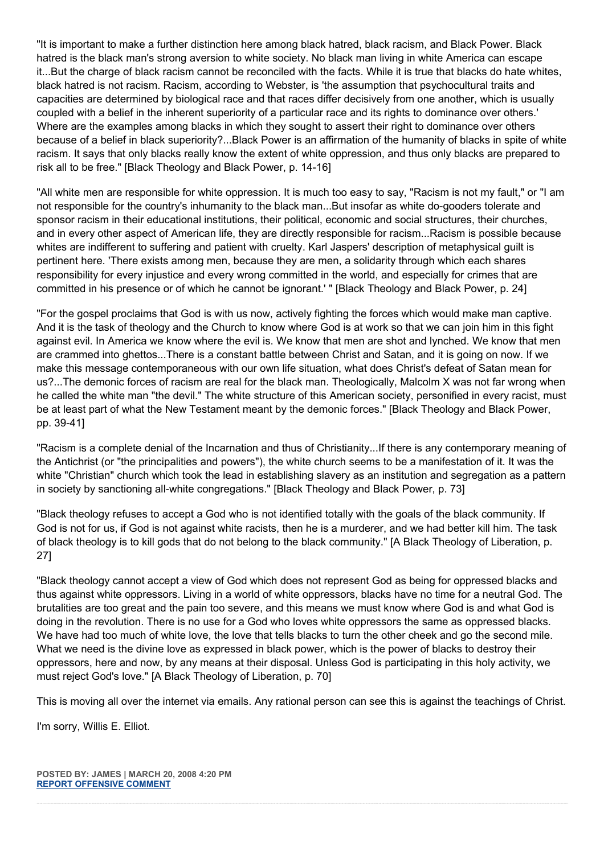"It is important to make a further distinction here among black hatred, black racism, and Black Power. Black hatred is the black man's strong aversion to white society. No black man living in white America can escape it...But the charge of black racism cannot be reconciled with the facts. While it is true that blacks do hate whites, black hatred is not racism. Racism, according to Webster, is 'the assumption that psychocultural traits and capacities are determined by biological race and that races differ decisively from one another, which is usually coupled with a belief in the inherent superiority of a particular race and its rights to dominance over others.' Where are the examples among blacks in which they sought to assert their right to dominance over others because of a belief in black superiority?...Black Power is an affirmation of the humanity of blacks in spite of white racism. It says that only blacks really know the extent of white oppression, and thus only blacks are prepared to risk all to be free." [Black Theology and Black Power, p. 14-16]

"All white men are responsible for white oppression. It is much too easy to say, "Racism is not my fault," or "I am not responsible for the country's inhumanity to the black man...But insofar as white do-gooders tolerate and sponsor racism in their educational institutions, their political, economic and social structures, their churches, and in every other aspect of American life, they are directly responsible for racism...Racism is possible because whites are indifferent to suffering and patient with cruelty. Karl Jaspers' description of metaphysical guilt is pertinent here. 'There exists among men, because they are men, a solidarity through which each shares responsibility for every injustice and every wrong committed in the world, and especially for crimes that are committed in his presence or of which he cannot be ignorant.' " [Black Theology and Black Power, p. 24]

"For the gospel proclaims that God is with us now, actively fighting the forces which would make man captive. And it is the task of theology and the Church to know where God is at work so that we can join him in this fight against evil. In America we know where the evil is. We know that men are shot and lynched. We know that men are crammed into ghettos...There is a constant battle between Christ and Satan, and it is going on now. If we make this message contemporaneous with our own life situation, what does Christ's defeat of Satan mean for us?...The demonic forces of racism are real for the black man. Theologically, Malcolm X was not far wrong when he called the white man "the devil." The white structure of this American society, personified in every racist, must be at least part of what the New Testament meant by the demonic forces." [Black Theology and Black Power, pp. 39-41]

"Racism is a complete denial of the Incarnation and thus of Christianity...If there is any contemporary meaning of the Antichrist (or "the principalities and powers"), the white church seems to be a manifestation of it. It was the white "Christian" church which took the lead in establishing slavery as an institution and segregation as a pattern in society by sanctioning all-white congregations." [Black Theology and Black Power, p. 73]

"Black theology refuses to accept a God who is not identified totally with the goals of the black community. If God is not for us, if God is not against white racists, then he is a murderer, and we had better kill him. The task of black theology is to kill gods that do not belong to the black community." [A Black Theology of Liberation, p. 27]

"Black theology cannot accept a view of God which does not represent God as being for oppressed blacks and thus against white oppressors. Living in a world of white oppressors, blacks have no time for a neutral God. The brutalities are too great and the pain too severe, and this means we must know where God is and what God is doing in the revolution. There is no use for a God who loves white oppressors the same as oppressed blacks. We have had too much of white love, the love that tells blacks to turn the other cheek and go the second mile. What we need is the divine love as expressed in black power, which is the power of blacks to destroy their oppressors, here and now, by any means at their disposal. Unless God is participating in this holy activity, we must reject God's love." [A Black Theology of Liberation, p. 70]

This is moving all over the internet via emails. Any rational person can see this is against the teachings of Christ.

I'm sorry, Willis E. Elliot.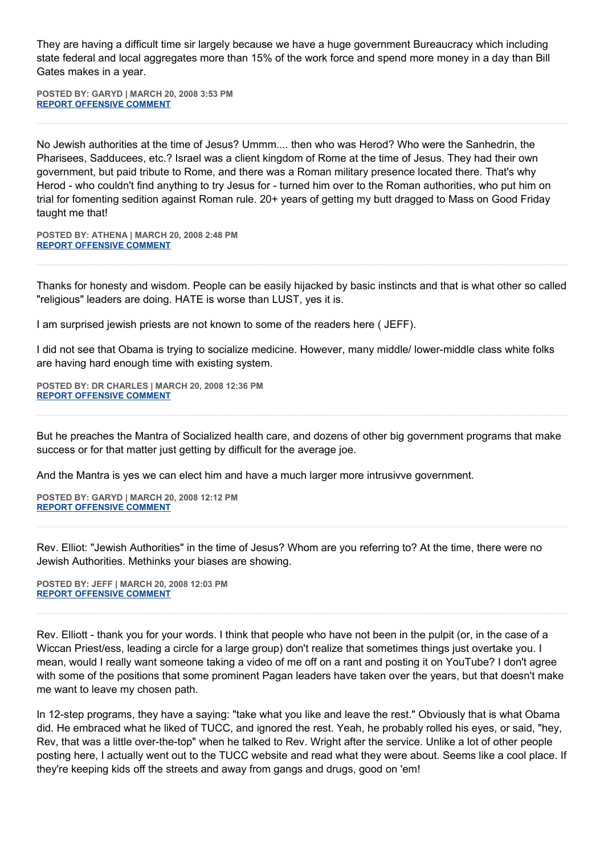They are having a difficult time sir largely because we have a huge government Bureaucracy which including state federal and local aggregates more than 15% of the work force and spend more money in a day than Bill Gates makes in a year.

**POSTED BY: GARYD | MARCH 20, 2008 3:53 PM [REPORT OFFENSIVE COMMENT](mailto:blogs@washingtonpost.com?subject=On%20Faith%20Panelists%20Blog%20%20%7C%20%20garyd%20%20%7C%20%20How%20to%20Hate%20Your%20Parents%20and%20Country%20%20%7C%20%202840883&body=%0D%0D%0D%0D%0D================%0D?__mode=view%26_type=comment%26id=2840883%26blog_id=618)**

No Jewish authorities at the time of Jesus? Ummm.... then who was Herod? Who were the Sanhedrin, the Pharisees, Sadducees, etc.? Israel was a client kingdom of Rome at the time of Jesus. They had their own government, but paid tribute to Rome, and there was a Roman military presence located there. That's why Herod - who couldn't find anything to try Jesus for - turned him over to the Roman authorities, who put him on trial for fomenting sedition against Roman rule. 20+ years of getting my butt dragged to Mass on Good Friday taught me that!

**POSTED BY: ATHENA | MARCH 20, 2008 2:48 PM [REPORT OFFENSIVE COMMENT](mailto:blogs@washingtonpost.com?subject=On%20Faith%20Panelists%20Blog%20%20%7C%20%20Athena%20%20%7C%20%20How%20to%20Hate%20Your%20Parents%20and%20Country%20%20%7C%20%202840311&body=%0D%0D%0D%0D%0D================%0D?__mode=view%26_type=comment%26id=2840311%26blog_id=618)**

Thanks for honesty and wisdom. People can be easily hijacked by basic instincts and that is what other so called "religious" leaders are doing. HATE is worse than LUST, yes it is.

I am surprised jewish priests are not known to some of the readers here ( JEFF).

I did not see that Obama is trying to socialize medicine. However, many middle/ lower-middle class white folks are having hard enough time with existing system.

**POSTED BY: DR CHARLES | MARCH 20, 2008 12:36 PM [REPORT OFFENSIVE COMMENT](mailto:blogs@washingtonpost.com?subject=On%20Faith%20Panelists%20Blog%20%20%7C%20%20Dr%20Charles%20%20%7C%20%20How%20to%20Hate%20Your%20Parents%20and%20Country%20%20%7C%20%202839270&body=%0D%0D%0D%0D%0D================%0D?__mode=view%26_type=comment%26id=2839270%26blog_id=618)**

But he preaches the Mantra of Socialized health care, and dozens of other big government programs that make success or for that matter just getting by difficult for the average joe.

And the Mantra is yes we can elect him and have a much larger more intrusivve government.

**POSTED BY: GARYD | MARCH 20, 2008 12:12 PM [REPORT OFFENSIVE COMMENT](mailto:blogs@washingtonpost.com?subject=On%20Faith%20Panelists%20Blog%20%20%7C%20%20garyd%20%20%7C%20%20How%20to%20Hate%20Your%20Parents%20and%20Country%20%20%7C%20%202839084&body=%0D%0D%0D%0D%0D================%0D?__mode=view%26_type=comment%26id=2839084%26blog_id=618)**

Rev. Elliot: "Jewish Authorities" in the time of Jesus? Whom are you referring to? At the time, there were no Jewish Authorities. Methinks your biases are showing.

**POSTED BY: JEFF | MARCH 20, 2008 12:03 PM [REPORT OFFENSIVE COMMENT](mailto:blogs@washingtonpost.com?subject=On%20Faith%20Panelists%20Blog%20%20%7C%20%20Jeff%20%20%7C%20%20How%20to%20Hate%20Your%20Parents%20and%20Country%20%20%7C%20%202839015&body=%0D%0D%0D%0D%0D================%0D?__mode=view%26_type=comment%26id=2839015%26blog_id=618)**

Rev. Elliott - thank you for your words. I think that people who have not been in the pulpit (or, in the case of a Wiccan Priest/ess, leading a circle for a large group) don't realize that sometimes things just overtake you. I mean, would I really want someone taking a video of me off on a rant and posting it on YouTube? I don't agree with some of the positions that some prominent Pagan leaders have taken over the years, but that doesn't make me want to leave my chosen path.

In 12-step programs, they have a saying: "take what you like and leave the rest." Obviously that is what Obama did. He embraced what he liked of TUCC, and ignored the rest. Yeah, he probably rolled his eyes, or said, "hey, Rev, that was a little over-the-top" when he talked to Rev. Wright after the service. Unlike a lot of other people posting here, I actually went out to the TUCC website and read what they were about. Seems like a cool place. If they're keeping kids off the streets and away from gangs and drugs, good on 'em!